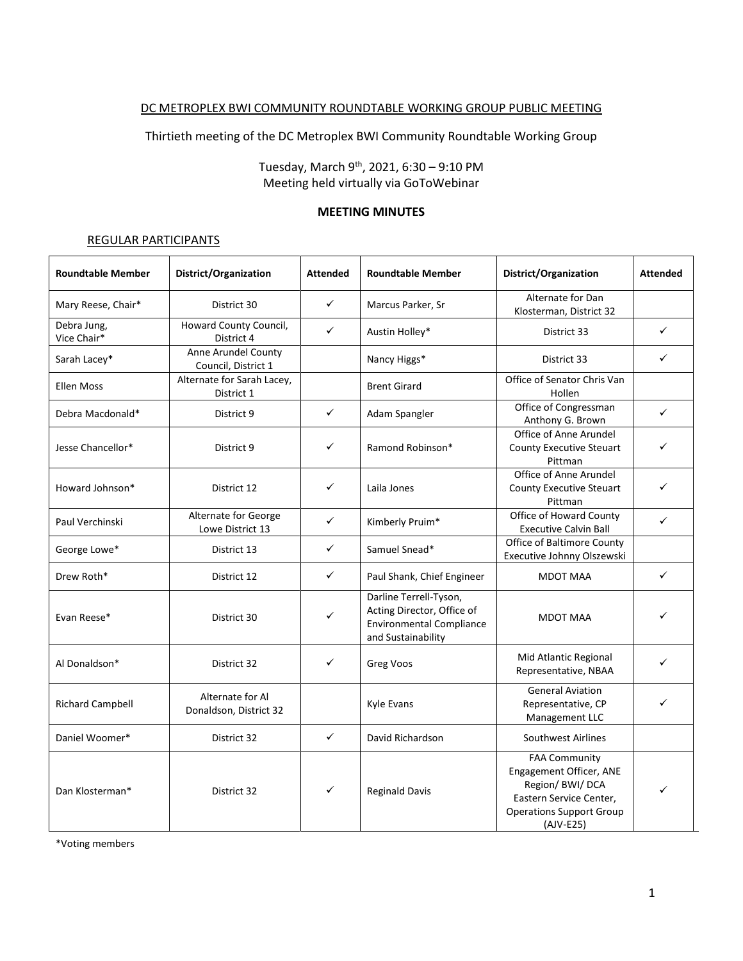## DC METROPLEX BWI COMMUNITY ROUNDTABLE WORKING GROUP PUBLIC MEETING

Thirtieth meeting of the DC Metroplex BWI Community Roundtable Working Group

Tuesday, March 9<sup>th</sup>, 2021, 6:30 – 9:10 PM Meeting held virtually via GoToWebinar

#### **MEETING MINUTES**

#### REGULAR PARTICIPANTS

| <b>Roundtable Member</b>   | District/Organization                      | <b>Attended</b> | <b>Roundtable Member</b>                                                                                      | District/Organization                                                                                                                            | <b>Attended</b> |
|----------------------------|--------------------------------------------|-----------------|---------------------------------------------------------------------------------------------------------------|--------------------------------------------------------------------------------------------------------------------------------------------------|-----------------|
| Mary Reese, Chair*         | District 30                                | $\checkmark$    | Marcus Parker, Sr                                                                                             | Alternate for Dan<br>Klosterman, District 32                                                                                                     |                 |
| Debra Jung,<br>Vice Chair* | Howard County Council,<br>District 4       | $\checkmark$    | Austin Holley*                                                                                                | District 33                                                                                                                                      | ✓               |
| Sarah Lacey*               | Anne Arundel County<br>Council, District 1 |                 | Nancy Higgs*                                                                                                  | District 33                                                                                                                                      | ✓               |
| <b>Ellen Moss</b>          | Alternate for Sarah Lacey,<br>District 1   |                 | <b>Brent Girard</b>                                                                                           | Office of Senator Chris Van<br>Hollen                                                                                                            |                 |
| Debra Macdonald*           | District 9                                 | $\checkmark$    | Adam Spangler                                                                                                 | Office of Congressman<br>Anthony G. Brown                                                                                                        | $\checkmark$    |
| Jesse Chancellor*          | District 9                                 | ✓               | Ramond Robinson*                                                                                              | Office of Anne Arundel<br><b>County Executive Steuart</b><br>Pittman                                                                             | ✓               |
| Howard Johnson*            | District 12                                | $\checkmark$    | Laila Jones                                                                                                   | Office of Anne Arundel<br><b>County Executive Steuart</b><br>Pittman                                                                             | ✓               |
| Paul Verchinski            | Alternate for George<br>Lowe District 13   | $\checkmark$    | Kimberly Pruim*                                                                                               | Office of Howard County<br><b>Executive Calvin Ball</b>                                                                                          | ✓               |
| George Lowe*               | District 13                                | $\checkmark$    | Samuel Snead*                                                                                                 | Office of Baltimore County<br>Executive Johnny Olszewski                                                                                         |                 |
| Drew Roth*                 | District 12                                | $\checkmark$    | Paul Shank, Chief Engineer                                                                                    | <b>MDOT MAA</b>                                                                                                                                  | ✓               |
| Evan Reese*                | District 30                                | $\checkmark$    | Darline Terrell-Tyson,<br>Acting Director, Office of<br><b>Environmental Compliance</b><br>and Sustainability | <b>MDOT MAA</b>                                                                                                                                  | ✓               |
| Al Donaldson*              | District 32                                | ✓               | Greg Voos                                                                                                     | Mid Atlantic Regional<br>Representative, NBAA                                                                                                    | ✓               |
| <b>Richard Campbell</b>    | Alternate for Al<br>Donaldson, District 32 |                 | <b>Kyle Evans</b>                                                                                             | <b>General Aviation</b><br>Representative, CP<br>Management LLC                                                                                  | ✓               |
| Daniel Woomer*             | District 32                                | $\checkmark$    | David Richardson                                                                                              | Southwest Airlines                                                                                                                               |                 |
| Dan Klosterman*            | District 32                                | $\checkmark$    | <b>Reginald Davis</b>                                                                                         | <b>FAA Community</b><br>Engagement Officer, ANE<br>Region/ BWI/ DCA<br>Eastern Service Center,<br><b>Operations Support Group</b><br>$(AJV-E25)$ | ✓               |

\*Voting members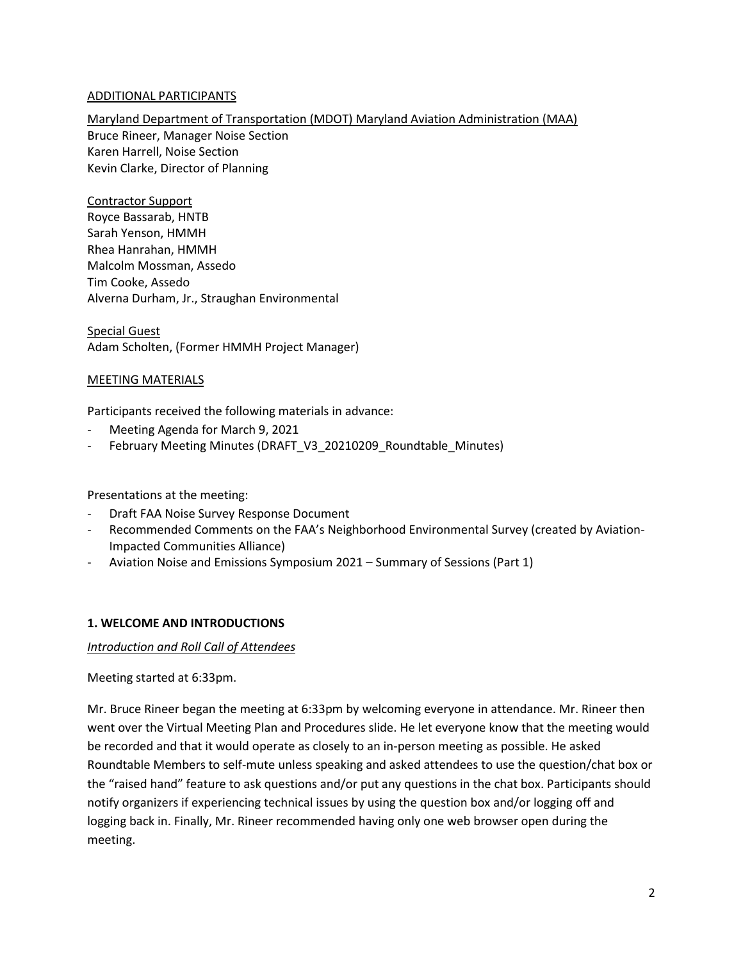## ADDITIONAL PARTICIPANTS

Maryland Department of Transportation (MDOT) Maryland Aviation Administration (MAA) Bruce Rineer, Manager Noise Section Karen Harrell, Noise Section Kevin Clarke, Director of Planning

Contractor Support Royce Bassarab, HNTB Sarah Yenson, HMMH Rhea Hanrahan, HMMH Malcolm Mossman, Assedo Tim Cooke, Assedo Alverna Durham, Jr., Straughan Environmental

Special Guest Adam Scholten, (Former HMMH Project Manager)

### MEETING MATERIALS

Participants received the following materials in advance:

- Meeting Agenda for March 9, 2021
- February Meeting Minutes (DRAFT\_V3\_20210209\_Roundtable\_Minutes)

Presentations at the meeting:

- Draft FAA Noise Survey Response Document
- Recommended Comments on the FAA's Neighborhood Environmental Survey (created by Aviation-Impacted Communities Alliance)
- Aviation Noise and Emissions Symposium 2021 Summary of Sessions (Part 1)

### **1. WELCOME AND INTRODUCTIONS**

### *Introduction and Roll Call of Attendees*

### Meeting started at 6:33pm.

Mr. Bruce Rineer began the meeting at 6:33pm by welcoming everyone in attendance. Mr. Rineer then went over the Virtual Meeting Plan and Procedures slide. He let everyone know that the meeting would be recorded and that it would operate as closely to an in-person meeting as possible. He asked Roundtable Members to self-mute unless speaking and asked attendees to use the question/chat box or the "raised hand" feature to ask questions and/or put any questions in the chat box. Participants should notify organizers if experiencing technical issues by using the question box and/or logging off and logging back in. Finally, Mr. Rineer recommended having only one web browser open during the meeting.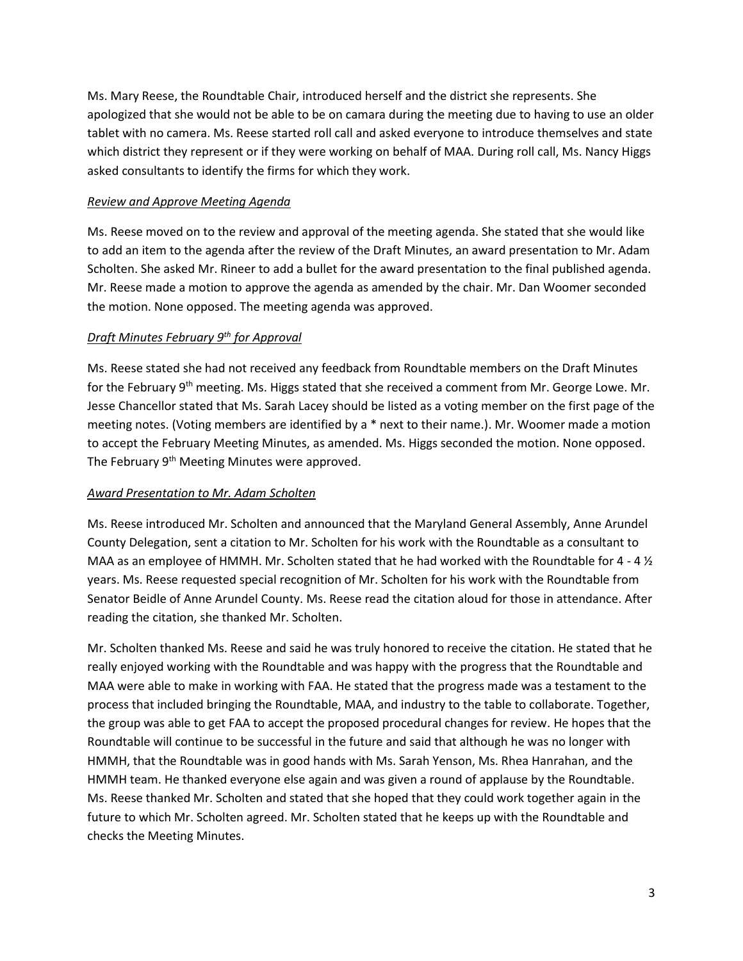Ms. Mary Reese, the Roundtable Chair, introduced herself and the district she represents. She apologized that she would not be able to be on camara during the meeting due to having to use an older tablet with no camera. Ms. Reese started roll call and asked everyone to introduce themselves and state which district they represent or if they were working on behalf of MAA. During roll call, Ms. Nancy Higgs asked consultants to identify the firms for which they work.

## *Review and Approve Meeting Agenda*

Ms. Reese moved on to the review and approval of the meeting agenda. She stated that she would like to add an item to the agenda after the review of the Draft Minutes, an award presentation to Mr. Adam Scholten. She asked Mr. Rineer to add a bullet for the award presentation to the final published agenda. Mr. Reese made a motion to approve the agenda as amended by the chair. Mr. Dan Woomer seconded the motion. None opposed. The meeting agenda was approved.

## *Draft Minutes February 9th for Approval*

Ms. Reese stated she had not received any feedback from Roundtable members on the Draft Minutes for the February 9<sup>th</sup> meeting. Ms. Higgs stated that she received a comment from Mr. George Lowe. Mr. Jesse Chancellor stated that Ms. Sarah Lacey should be listed as a voting member on the first page of the meeting notes. (Voting members are identified by a \* next to their name.). Mr. Woomer made a motion to accept the February Meeting Minutes, as amended. Ms. Higgs seconded the motion. None opposed. The February 9<sup>th</sup> Meeting Minutes were approved.

### *Award Presentation to Mr. Adam Scholten*

Ms. Reese introduced Mr. Scholten and announced that the Maryland General Assembly, Anne Arundel County Delegation, sent a citation to Mr. Scholten for his work with the Roundtable as a consultant to MAA as an employee of HMMH. Mr. Scholten stated that he had worked with the Roundtable for 4 - 4  $\frac{1}{2}$ years. Ms. Reese requested special recognition of Mr. Scholten for his work with the Roundtable from Senator Beidle of Anne Arundel County. Ms. Reese read the citation aloud for those in attendance. After reading the citation, she thanked Mr. Scholten.

Mr. Scholten thanked Ms. Reese and said he was truly honored to receive the citation. He stated that he really enjoyed working with the Roundtable and was happy with the progress that the Roundtable and MAA were able to make in working with FAA. He stated that the progress made was a testament to the process that included bringing the Roundtable, MAA, and industry to the table to collaborate. Together, the group was able to get FAA to accept the proposed procedural changes for review. He hopes that the Roundtable will continue to be successful in the future and said that although he was no longer with HMMH, that the Roundtable was in good hands with Ms. Sarah Yenson, Ms. Rhea Hanrahan, and the HMMH team. He thanked everyone else again and was given a round of applause by the Roundtable. Ms. Reese thanked Mr. Scholten and stated that she hoped that they could work together again in the future to which Mr. Scholten agreed. Mr. Scholten stated that he keeps up with the Roundtable and checks the Meeting Minutes.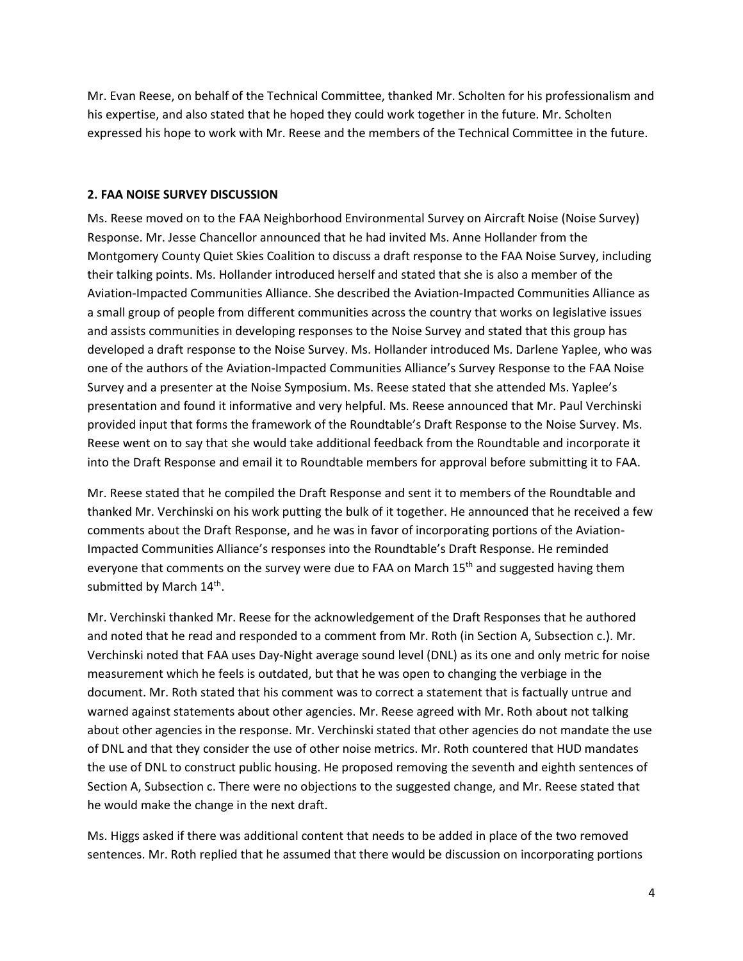Mr. Evan Reese, on behalf of the Technical Committee, thanked Mr. Scholten for his professionalism and his expertise, and also stated that he hoped they could work together in the future. Mr. Scholten expressed his hope to work with Mr. Reese and the members of the Technical Committee in the future.

#### **2. FAA NOISE SURVEY DISCUSSION**

Ms. Reese moved on to the FAA Neighborhood Environmental Survey on Aircraft Noise (Noise Survey) Response. Mr. Jesse Chancellor announced that he had invited Ms. Anne Hollander from the Montgomery County Quiet Skies Coalition to discuss a draft response to the FAA Noise Survey, including their talking points. Ms. Hollander introduced herself and stated that she is also a member of the Aviation-Impacted Communities Alliance. She described the Aviation-Impacted Communities Alliance as a small group of people from different communities across the country that works on legislative issues and assists communities in developing responses to the Noise Survey and stated that this group has developed a draft response to the Noise Survey. Ms. Hollander introduced Ms. Darlene Yaplee, who was one of the authors of the Aviation-Impacted Communities Alliance's Survey Response to the FAA Noise Survey and a presenter at the Noise Symposium. Ms. Reese stated that she attended Ms. Yaplee's presentation and found it informative and very helpful. Ms. Reese announced that Mr. Paul Verchinski provided input that forms the framework of the Roundtable's Draft Response to the Noise Survey. Ms. Reese went on to say that she would take additional feedback from the Roundtable and incorporate it into the Draft Response and email it to Roundtable members for approval before submitting it to FAA.

Mr. Reese stated that he compiled the Draft Response and sent it to members of the Roundtable and thanked Mr. Verchinski on his work putting the bulk of it together. He announced that he received a few comments about the Draft Response, and he was in favor of incorporating portions of the Aviation-Impacted Communities Alliance's responses into the Roundtable's Draft Response. He reminded everyone that comments on the survey were due to FAA on March  $15<sup>th</sup>$  and suggested having them submitted by March 14<sup>th</sup>.

Mr. Verchinski thanked Mr. Reese for the acknowledgement of the Draft Responses that he authored and noted that he read and responded to a comment from Mr. Roth (in Section A, Subsection c.). Mr. Verchinski noted that FAA uses Day-Night average sound level (DNL) as its one and only metric for noise measurement which he feels is outdated, but that he was open to changing the verbiage in the document. Mr. Roth stated that his comment was to correct a statement that is factually untrue and warned against statements about other agencies. Mr. Reese agreed with Mr. Roth about not talking about other agencies in the response. Mr. Verchinski stated that other agencies do not mandate the use of DNL and that they consider the use of other noise metrics. Mr. Roth countered that HUD mandates the use of DNL to construct public housing. He proposed removing the seventh and eighth sentences of Section A, Subsection c. There were no objections to the suggested change, and Mr. Reese stated that he would make the change in the next draft.

Ms. Higgs asked if there was additional content that needs to be added in place of the two removed sentences. Mr. Roth replied that he assumed that there would be discussion on incorporating portions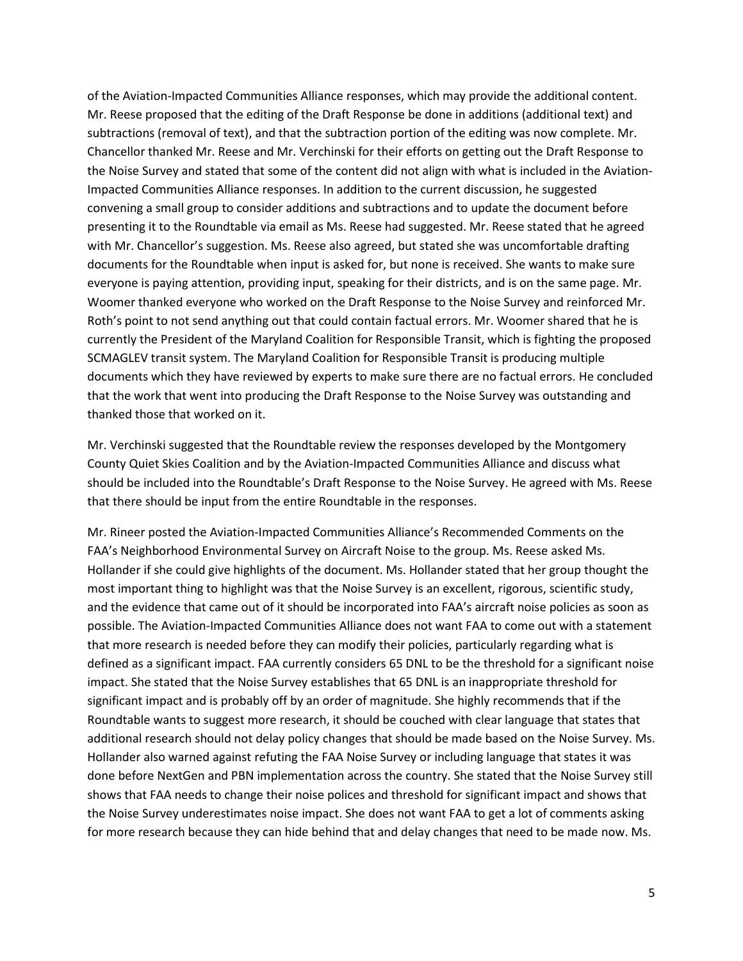of the Aviation-Impacted Communities Alliance responses, which may provide the additional content. Mr. Reese proposed that the editing of the Draft Response be done in additions (additional text) and subtractions (removal of text), and that the subtraction portion of the editing was now complete. Mr. Chancellor thanked Mr. Reese and Mr. Verchinski for their efforts on getting out the Draft Response to the Noise Survey and stated that some of the content did not align with what is included in the Aviation-Impacted Communities Alliance responses. In addition to the current discussion, he suggested convening a small group to consider additions and subtractions and to update the document before presenting it to the Roundtable via email as Ms. Reese had suggested. Mr. Reese stated that he agreed with Mr. Chancellor's suggestion. Ms. Reese also agreed, but stated she was uncomfortable drafting documents for the Roundtable when input is asked for, but none is received. She wants to make sure everyone is paying attention, providing input, speaking for their districts, and is on the same page. Mr. Woomer thanked everyone who worked on the Draft Response to the Noise Survey and reinforced Mr. Roth's point to not send anything out that could contain factual errors. Mr. Woomer shared that he is currently the President of the Maryland Coalition for Responsible Transit, which is fighting the proposed SCMAGLEV transit system. The Maryland Coalition for Responsible Transit is producing multiple documents which they have reviewed by experts to make sure there are no factual errors. He concluded that the work that went into producing the Draft Response to the Noise Survey was outstanding and thanked those that worked on it.

Mr. Verchinski suggested that the Roundtable review the responses developed by the Montgomery County Quiet Skies Coalition and by the Aviation-Impacted Communities Alliance and discuss what should be included into the Roundtable's Draft Response to the Noise Survey. He agreed with Ms. Reese that there should be input from the entire Roundtable in the responses.

Mr. Rineer posted the Aviation-Impacted Communities Alliance's Recommended Comments on the FAA's Neighborhood Environmental Survey on Aircraft Noise to the group. Ms. Reese asked Ms. Hollander if she could give highlights of the document. Ms. Hollander stated that her group thought the most important thing to highlight was that the Noise Survey is an excellent, rigorous, scientific study, and the evidence that came out of it should be incorporated into FAA's aircraft noise policies as soon as possible. The Aviation-Impacted Communities Alliance does not want FAA to come out with a statement that more research is needed before they can modify their policies, particularly regarding what is defined as a significant impact. FAA currently considers 65 DNL to be the threshold for a significant noise impact. She stated that the Noise Survey establishes that 65 DNL is an inappropriate threshold for significant impact and is probably off by an order of magnitude. She highly recommends that if the Roundtable wants to suggest more research, it should be couched with clear language that states that additional research should not delay policy changes that should be made based on the Noise Survey. Ms. Hollander also warned against refuting the FAA Noise Survey or including language that states it was done before NextGen and PBN implementation across the country. She stated that the Noise Survey still shows that FAA needs to change their noise polices and threshold for significant impact and shows that the Noise Survey underestimates noise impact. She does not want FAA to get a lot of comments asking for more research because they can hide behind that and delay changes that need to be made now. Ms.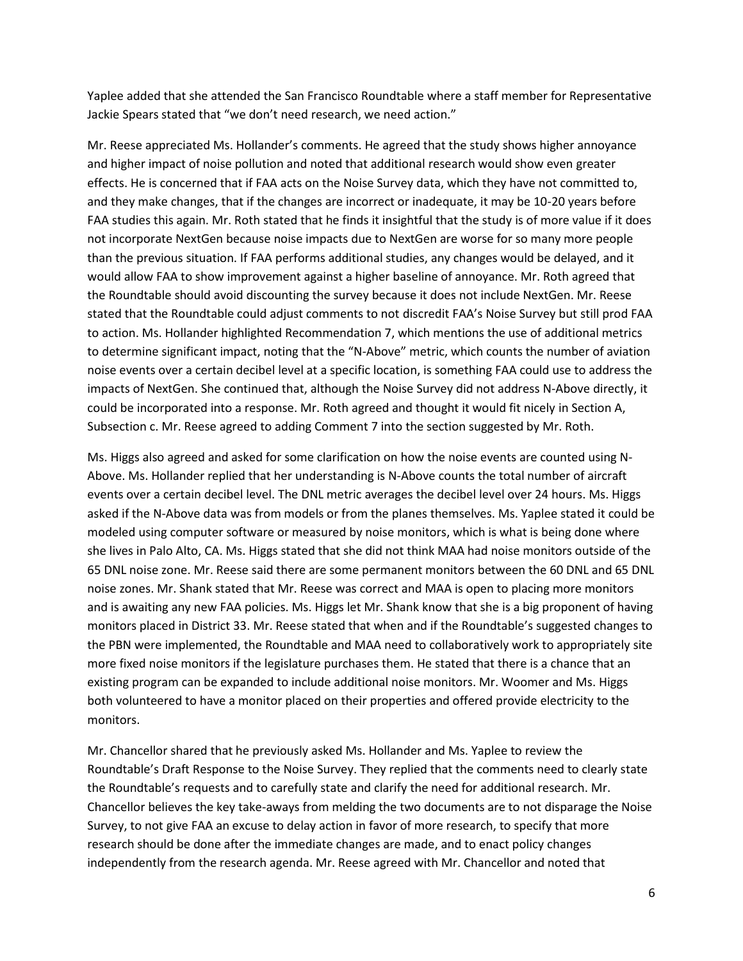Yaplee added that she attended the San Francisco Roundtable where a staff member for Representative Jackie Spears stated that "we don't need research, we need action."

Mr. Reese appreciated Ms. Hollander's comments. He agreed that the study shows higher annoyance and higher impact of noise pollution and noted that additional research would show even greater effects. He is concerned that if FAA acts on the Noise Survey data, which they have not committed to, and they make changes, that if the changes are incorrect or inadequate, it may be 10-20 years before FAA studies this again. Mr. Roth stated that he finds it insightful that the study is of more value if it does not incorporate NextGen because noise impacts due to NextGen are worse for so many more people than the previous situation. If FAA performs additional studies, any changes would be delayed, and it would allow FAA to show improvement against a higher baseline of annoyance. Mr. Roth agreed that the Roundtable should avoid discounting the survey because it does not include NextGen. Mr. Reese stated that the Roundtable could adjust comments to not discredit FAA's Noise Survey but still prod FAA to action. Ms. Hollander highlighted Recommendation 7, which mentions the use of additional metrics to determine significant impact, noting that the "N-Above" metric, which counts the number of aviation noise events over a certain decibel level at a specific location, is something FAA could use to address the impacts of NextGen. She continued that, although the Noise Survey did not address N-Above directly, it could be incorporated into a response. Mr. Roth agreed and thought it would fit nicely in Section A, Subsection c. Mr. Reese agreed to adding Comment 7 into the section suggested by Mr. Roth.

Ms. Higgs also agreed and asked for some clarification on how the noise events are counted using N-Above. Ms. Hollander replied that her understanding is N-Above counts the total number of aircraft events over a certain decibel level. The DNL metric averages the decibel level over 24 hours. Ms. Higgs asked if the N-Above data was from models or from the planes themselves. Ms. Yaplee stated it could be modeled using computer software or measured by noise monitors, which is what is being done where she lives in Palo Alto, CA. Ms. Higgs stated that she did not think MAA had noise monitors outside of the 65 DNL noise zone. Mr. Reese said there are some permanent monitors between the 60 DNL and 65 DNL noise zones. Mr. Shank stated that Mr. Reese was correct and MAA is open to placing more monitors and is awaiting any new FAA policies. Ms. Higgs let Mr. Shank know that she is a big proponent of having monitors placed in District 33. Mr. Reese stated that when and if the Roundtable's suggested changes to the PBN were implemented, the Roundtable and MAA need to collaboratively work to appropriately site more fixed noise monitors if the legislature purchases them. He stated that there is a chance that an existing program can be expanded to include additional noise monitors. Mr. Woomer and Ms. Higgs both volunteered to have a monitor placed on their properties and offered provide electricity to the monitors.

Mr. Chancellor shared that he previously asked Ms. Hollander and Ms. Yaplee to review the Roundtable's Draft Response to the Noise Survey. They replied that the comments need to clearly state the Roundtable's requests and to carefully state and clarify the need for additional research. Mr. Chancellor believes the key take-aways from melding the two documents are to not disparage the Noise Survey, to not give FAA an excuse to delay action in favor of more research, to specify that more research should be done after the immediate changes are made, and to enact policy changes independently from the research agenda. Mr. Reese agreed with Mr. Chancellor and noted that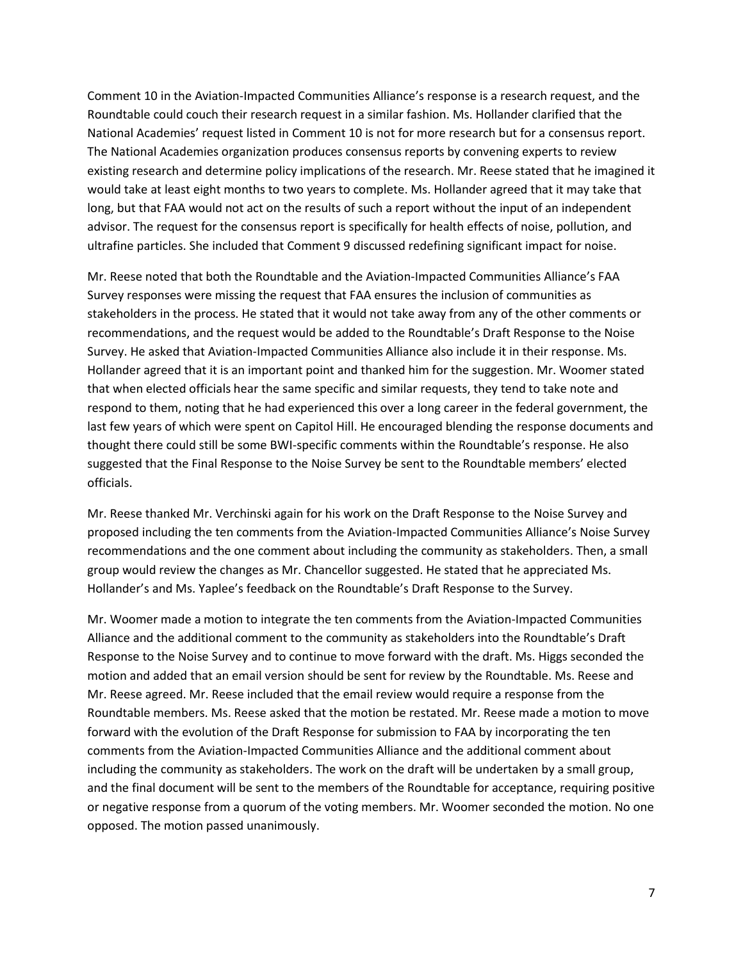Comment 10 in the Aviation-Impacted Communities Alliance's response is a research request, and the Roundtable could couch their research request in a similar fashion. Ms. Hollander clarified that the National Academies' request listed in Comment 10 is not for more research but for a consensus report. The National Academies organization produces consensus reports by convening experts to review existing research and determine policy implications of the research. Mr. Reese stated that he imagined it would take at least eight months to two years to complete. Ms. Hollander agreed that it may take that long, but that FAA would not act on the results of such a report without the input of an independent advisor. The request for the consensus report is specifically for health effects of noise, pollution, and ultrafine particles. She included that Comment 9 discussed redefining significant impact for noise.

Mr. Reese noted that both the Roundtable and the Aviation-Impacted Communities Alliance's FAA Survey responses were missing the request that FAA ensures the inclusion of communities as stakeholders in the process. He stated that it would not take away from any of the other comments or recommendations, and the request would be added to the Roundtable's Draft Response to the Noise Survey. He asked that Aviation-Impacted Communities Alliance also include it in their response. Ms. Hollander agreed that it is an important point and thanked him for the suggestion. Mr. Woomer stated that when elected officials hear the same specific and similar requests, they tend to take note and respond to them, noting that he had experienced this over a long career in the federal government, the last few years of which were spent on Capitol Hill. He encouraged blending the response documents and thought there could still be some BWI-specific comments within the Roundtable's response. He also suggested that the Final Response to the Noise Survey be sent to the Roundtable members' elected officials.

Mr. Reese thanked Mr. Verchinski again for his work on the Draft Response to the Noise Survey and proposed including the ten comments from the Aviation-Impacted Communities Alliance's Noise Survey recommendations and the one comment about including the community as stakeholders. Then, a small group would review the changes as Mr. Chancellor suggested. He stated that he appreciated Ms. Hollander's and Ms. Yaplee's feedback on the Roundtable's Draft Response to the Survey.

Mr. Woomer made a motion to integrate the ten comments from the Aviation-Impacted Communities Alliance and the additional comment to the community as stakeholders into the Roundtable's Draft Response to the Noise Survey and to continue to move forward with the draft. Ms. Higgs seconded the motion and added that an email version should be sent for review by the Roundtable. Ms. Reese and Mr. Reese agreed. Mr. Reese included that the email review would require a response from the Roundtable members. Ms. Reese asked that the motion be restated. Mr. Reese made a motion to move forward with the evolution of the Draft Response for submission to FAA by incorporating the ten comments from the Aviation-Impacted Communities Alliance and the additional comment about including the community as stakeholders. The work on the draft will be undertaken by a small group, and the final document will be sent to the members of the Roundtable for acceptance, requiring positive or negative response from a quorum of the voting members. Mr. Woomer seconded the motion. No one opposed. The motion passed unanimously.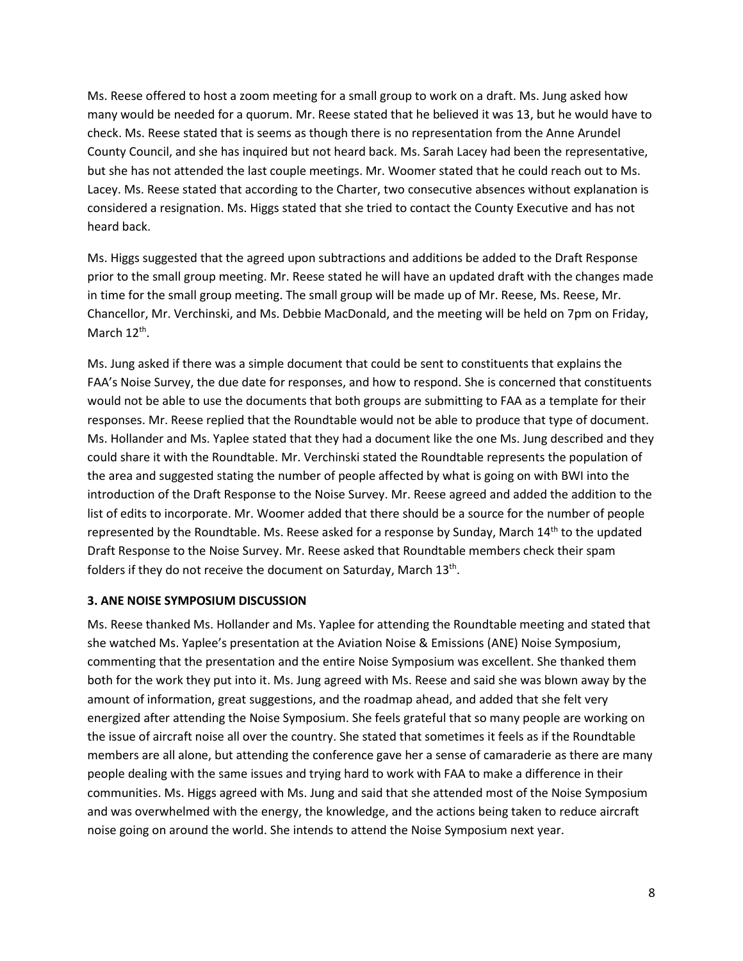Ms. Reese offered to host a zoom meeting for a small group to work on a draft. Ms. Jung asked how many would be needed for a quorum. Mr. Reese stated that he believed it was 13, but he would have to check. Ms. Reese stated that is seems as though there is no representation from the Anne Arundel County Council, and she has inquired but not heard back. Ms. Sarah Lacey had been the representative, but she has not attended the last couple meetings. Mr. Woomer stated that he could reach out to Ms. Lacey. Ms. Reese stated that according to the Charter, two consecutive absences without explanation is considered a resignation. Ms. Higgs stated that she tried to contact the County Executive and has not heard back.

Ms. Higgs suggested that the agreed upon subtractions and additions be added to the Draft Response prior to the small group meeting. Mr. Reese stated he will have an updated draft with the changes made in time for the small group meeting. The small group will be made up of Mr. Reese, Ms. Reese, Mr. Chancellor, Mr. Verchinski, and Ms. Debbie MacDonald, and the meeting will be held on 7pm on Friday, March 12<sup>th</sup>.

Ms. Jung asked if there was a simple document that could be sent to constituents that explains the FAA's Noise Survey, the due date for responses, and how to respond. She is concerned that constituents would not be able to use the documents that both groups are submitting to FAA as a template for their responses. Mr. Reese replied that the Roundtable would not be able to produce that type of document. Ms. Hollander and Ms. Yaplee stated that they had a document like the one Ms. Jung described and they could share it with the Roundtable. Mr. Verchinski stated the Roundtable represents the population of the area and suggested stating the number of people affected by what is going on with BWI into the introduction of the Draft Response to the Noise Survey. Mr. Reese agreed and added the addition to the list of edits to incorporate. Mr. Woomer added that there should be a source for the number of people represented by the Roundtable. Ms. Reese asked for a response by Sunday, March  $14<sup>th</sup>$  to the updated Draft Response to the Noise Survey. Mr. Reese asked that Roundtable members check their spam folders if they do not receive the document on Saturday, March 13<sup>th</sup>.

### **3. ANE NOISE SYMPOSIUM DISCUSSION**

Ms. Reese thanked Ms. Hollander and Ms. Yaplee for attending the Roundtable meeting and stated that she watched Ms. Yaplee's presentation at the Aviation Noise & Emissions (ANE) Noise Symposium, commenting that the presentation and the entire Noise Symposium was excellent. She thanked them both for the work they put into it. Ms. Jung agreed with Ms. Reese and said she was blown away by the amount of information, great suggestions, and the roadmap ahead, and added that she felt very energized after attending the Noise Symposium. She feels grateful that so many people are working on the issue of aircraft noise all over the country. She stated that sometimes it feels as if the Roundtable members are all alone, but attending the conference gave her a sense of camaraderie as there are many people dealing with the same issues and trying hard to work with FAA to make a difference in their communities. Ms. Higgs agreed with Ms. Jung and said that she attended most of the Noise Symposium and was overwhelmed with the energy, the knowledge, and the actions being taken to reduce aircraft noise going on around the world. She intends to attend the Noise Symposium next year.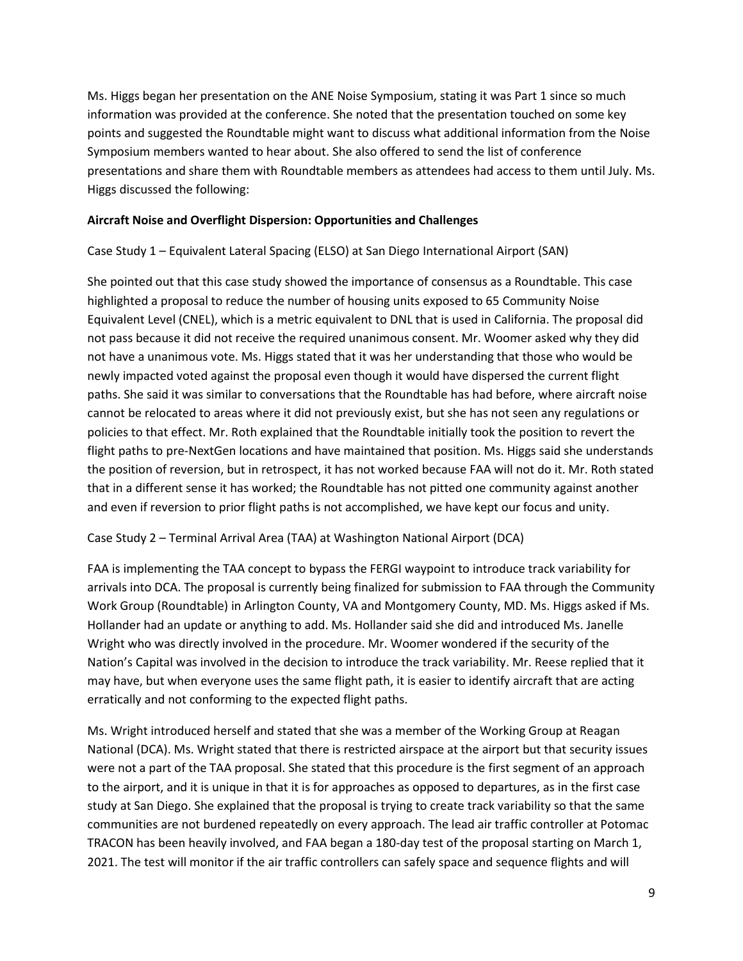Ms. Higgs began her presentation on the ANE Noise Symposium, stating it was Part 1 since so much information was provided at the conference. She noted that the presentation touched on some key points and suggested the Roundtable might want to discuss what additional information from the Noise Symposium members wanted to hear about. She also offered to send the list of conference presentations and share them with Roundtable members as attendees had access to them until July. Ms. Higgs discussed the following:

## **Aircraft Noise and Overflight Dispersion: Opportunities and Challenges**

Case Study 1 – Equivalent Lateral Spacing (ELSO) at San Diego International Airport (SAN)

She pointed out that this case study showed the importance of consensus as a Roundtable. This case highlighted a proposal to reduce the number of housing units exposed to 65 Community Noise Equivalent Level (CNEL), which is a metric equivalent to DNL that is used in California. The proposal did not pass because it did not receive the required unanimous consent. Mr. Woomer asked why they did not have a unanimous vote. Ms. Higgs stated that it was her understanding that those who would be newly impacted voted against the proposal even though it would have dispersed the current flight paths. She said it was similar to conversations that the Roundtable has had before, where aircraft noise cannot be relocated to areas where it did not previously exist, but she has not seen any regulations or policies to that effect. Mr. Roth explained that the Roundtable initially took the position to revert the flight paths to pre-NextGen locations and have maintained that position. Ms. Higgs said she understands the position of reversion, but in retrospect, it has not worked because FAA will not do it. Mr. Roth stated that in a different sense it has worked; the Roundtable has not pitted one community against another and even if reversion to prior flight paths is not accomplished, we have kept our focus and unity.

Case Study 2 – Terminal Arrival Area (TAA) at Washington National Airport (DCA)

FAA is implementing the TAA concept to bypass the FERGI waypoint to introduce track variability for arrivals into DCA. The proposal is currently being finalized for submission to FAA through the Community Work Group (Roundtable) in Arlington County, VA and Montgomery County, MD. Ms. Higgs asked if Ms. Hollander had an update or anything to add. Ms. Hollander said she did and introduced Ms. Janelle Wright who was directly involved in the procedure. Mr. Woomer wondered if the security of the Nation's Capital was involved in the decision to introduce the track variability. Mr. Reese replied that it may have, but when everyone uses the same flight path, it is easier to identify aircraft that are acting erratically and not conforming to the expected flight paths.

Ms. Wright introduced herself and stated that she was a member of the Working Group at Reagan National (DCA). Ms. Wright stated that there is restricted airspace at the airport but that security issues were not a part of the TAA proposal. She stated that this procedure is the first segment of an approach to the airport, and it is unique in that it is for approaches as opposed to departures, as in the first case study at San Diego. She explained that the proposal is trying to create track variability so that the same communities are not burdened repeatedly on every approach. The lead air traffic controller at Potomac TRACON has been heavily involved, and FAA began a 180-day test of the proposal starting on March 1, 2021. The test will monitor if the air traffic controllers can safely space and sequence flights and will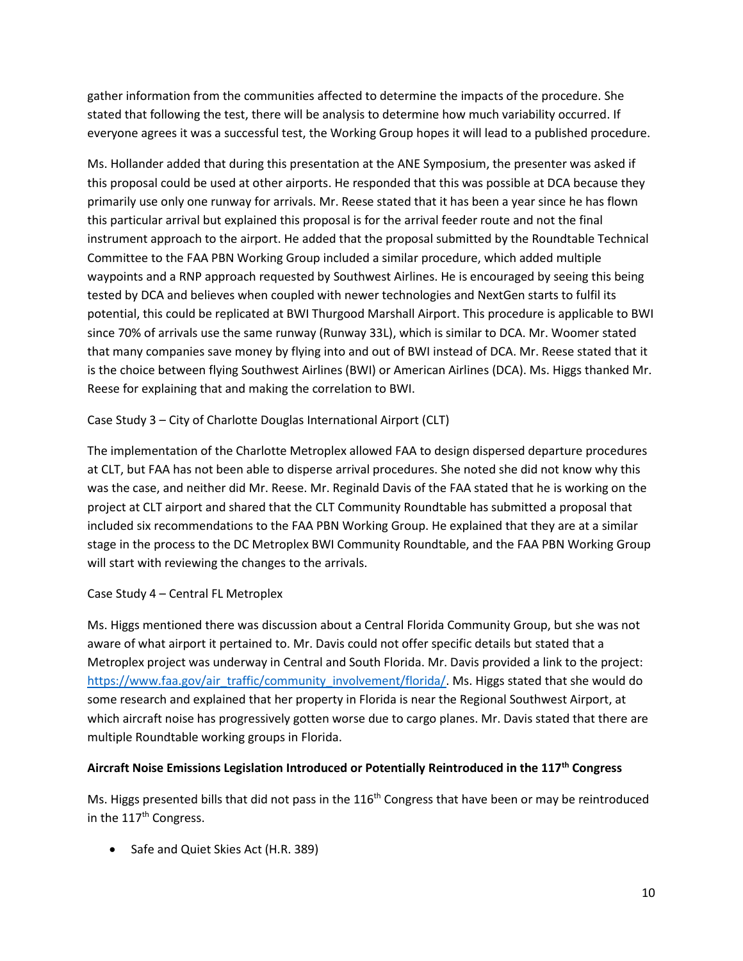gather information from the communities affected to determine the impacts of the procedure. She stated that following the test, there will be analysis to determine how much variability occurred. If everyone agrees it was a successful test, the Working Group hopes it will lead to a published procedure.

Ms. Hollander added that during this presentation at the ANE Symposium, the presenter was asked if this proposal could be used at other airports. He responded that this was possible at DCA because they primarily use only one runway for arrivals. Mr. Reese stated that it has been a year since he has flown this particular arrival but explained this proposal is for the arrival feeder route and not the final instrument approach to the airport. He added that the proposal submitted by the Roundtable Technical Committee to the FAA PBN Working Group included a similar procedure, which added multiple waypoints and a RNP approach requested by Southwest Airlines. He is encouraged by seeing this being tested by DCA and believes when coupled with newer technologies and NextGen starts to fulfil its potential, this could be replicated at BWI Thurgood Marshall Airport. This procedure is applicable to BWI since 70% of arrivals use the same runway (Runway 33L), which is similar to DCA. Mr. Woomer stated that many companies save money by flying into and out of BWI instead of DCA. Mr. Reese stated that it is the choice between flying Southwest Airlines (BWI) or American Airlines (DCA). Ms. Higgs thanked Mr. Reese for explaining that and making the correlation to BWI.

# Case Study 3 – City of Charlotte Douglas International Airport (CLT)

The implementation of the Charlotte Metroplex allowed FAA to design dispersed departure procedures at CLT, but FAA has not been able to disperse arrival procedures. She noted she did not know why this was the case, and neither did Mr. Reese. Mr. Reginald Davis of the FAA stated that he is working on the project at CLT airport and shared that the CLT Community Roundtable has submitted a proposal that included six recommendations to the FAA PBN Working Group. He explained that they are at a similar stage in the process to the DC Metroplex BWI Community Roundtable, and the FAA PBN Working Group will start with reviewing the changes to the arrivals.

### Case Study 4 – Central FL Metroplex

Ms. Higgs mentioned there was discussion about a Central Florida Community Group, but she was not aware of what airport it pertained to. Mr. Davis could not offer specific details but stated that a Metroplex project was underway in Central and South Florida. Mr. Davis provided a link to the project: [https://www.faa.gov/air\\_traffic/community\\_involvement/florida/.](https://www.faa.gov/air_traffic/community_involvement/florida/) Ms. Higgs stated that she would do some research and explained that her property in Florida is near the Regional Southwest Airport, at which aircraft noise has progressively gotten worse due to cargo planes. Mr. Davis stated that there are multiple Roundtable working groups in Florida.

### **Aircraft Noise Emissions Legislation Introduced or Potentially Reintroduced in the 117th Congress**

Ms. Higgs presented bills that did not pass in the 116<sup>th</sup> Congress that have been or may be reintroduced in the 117<sup>th</sup> Congress.

• Safe and Quiet Skies Act (H.R. 389)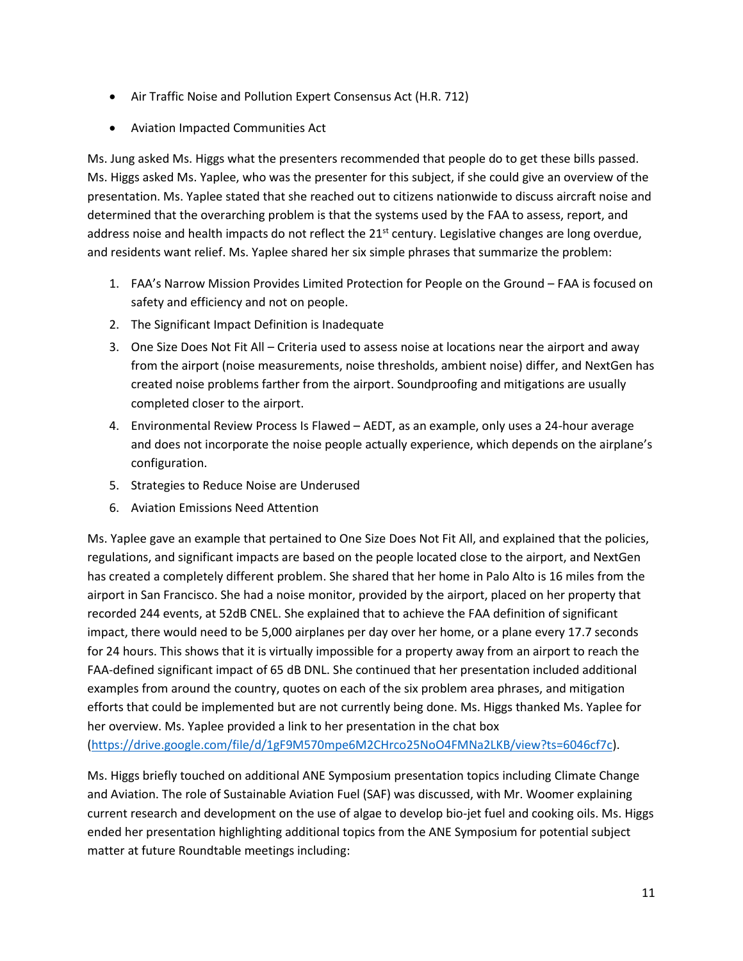- Air Traffic Noise and Pollution Expert Consensus Act (H.R. 712)
- Aviation Impacted Communities Act

Ms. Jung asked Ms. Higgs what the presenters recommended that people do to get these bills passed. Ms. Higgs asked Ms. Yaplee, who was the presenter for this subject, if she could give an overview of the presentation. Ms. Yaplee stated that she reached out to citizens nationwide to discuss aircraft noise and determined that the overarching problem is that the systems used by the FAA to assess, report, and address noise and health impacts do not reflect the  $21<sup>st</sup>$  century. Legislative changes are long overdue, and residents want relief. Ms. Yaplee shared her six simple phrases that summarize the problem:

- 1. FAA's Narrow Mission Provides Limited Protection for People on the Ground FAA is focused on safety and efficiency and not on people.
- 2. The Significant Impact Definition is Inadequate
- 3. One Size Does Not Fit All Criteria used to assess noise at locations near the airport and away from the airport (noise measurements, noise thresholds, ambient noise) differ, and NextGen has created noise problems farther from the airport. Soundproofing and mitigations are usually completed closer to the airport.
- 4. Environmental Review Process Is Flawed AEDT, as an example, only uses a 24-hour average and does not incorporate the noise people actually experience, which depends on the airplane's configuration.
- 5. Strategies to Reduce Noise are Underused
- 6. Aviation Emissions Need Attention

Ms. Yaplee gave an example that pertained to One Size Does Not Fit All, and explained that the policies, regulations, and significant impacts are based on the people located close to the airport, and NextGen has created a completely different problem. She shared that her home in Palo Alto is 16 miles from the airport in San Francisco. She had a noise monitor, provided by the airport, placed on her property that recorded 244 events, at 52dB CNEL. She explained that to achieve the FAA definition of significant impact, there would need to be 5,000 airplanes per day over her home, or a plane every 17.7 seconds for 24 hours. This shows that it is virtually impossible for a property away from an airport to reach the FAA-defined significant impact of 65 dB DNL. She continued that her presentation included additional examples from around the country, quotes on each of the six problem area phrases, and mitigation efforts that could be implemented but are not currently being done. Ms. Higgs thanked Ms. Yaplee for her overview. Ms. Yaplee provided a link to her presentation in the chat box [\(https://drive.google.com/file/d/1gF9M570mpe6M2CHrco25NoO4FMNa2LKB/view?ts=6046cf7c\)](https://drive.google.com/file/d/1gF9M570mpe6M2CHrco25NoO4FMNa2LKB/view?ts=6046cf7c).

Ms. Higgs briefly touched on additional ANE Symposium presentation topics including Climate Change and Aviation. The role of Sustainable Aviation Fuel (SAF) was discussed, with Mr. Woomer explaining current research and development on the use of algae to develop bio-jet fuel and cooking oils. Ms. Higgs ended her presentation highlighting additional topics from the ANE Symposium for potential subject matter at future Roundtable meetings including: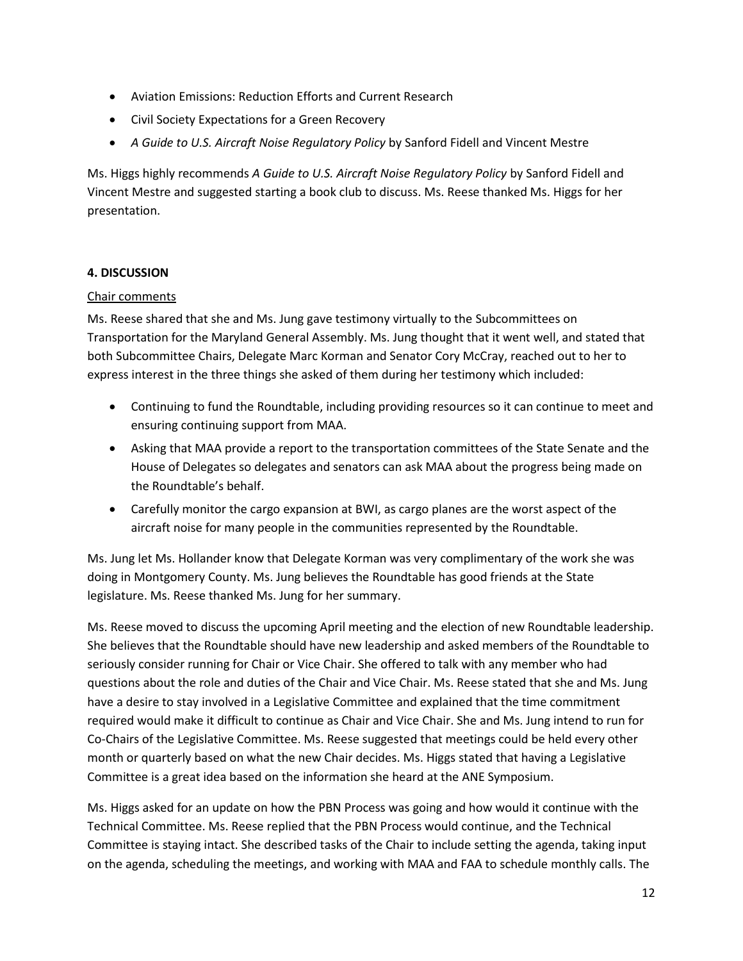- Aviation Emissions: Reduction Efforts and Current Research
- Civil Society Expectations for a Green Recovery
- *A Guide to U.S. Aircraft Noise Regulatory Policy* by Sanford Fidell and Vincent Mestre

Ms. Higgs highly recommends *A Guide to U.S. Aircraft Noise Regulatory Policy* by Sanford Fidell and Vincent Mestre and suggested starting a book club to discuss. Ms. Reese thanked Ms. Higgs for her presentation.

# **4. DISCUSSION**

## Chair comments

Ms. Reese shared that she and Ms. Jung gave testimony virtually to the Subcommittees on Transportation for the Maryland General Assembly. Ms. Jung thought that it went well, and stated that both Subcommittee Chairs, Delegate Marc Korman and Senator Cory McCray, reached out to her to express interest in the three things she asked of them during her testimony which included:

- Continuing to fund the Roundtable, including providing resources so it can continue to meet and ensuring continuing support from MAA.
- Asking that MAA provide a report to the transportation committees of the State Senate and the House of Delegates so delegates and senators can ask MAA about the progress being made on the Roundtable's behalf.
- Carefully monitor the cargo expansion at BWI, as cargo planes are the worst aspect of the aircraft noise for many people in the communities represented by the Roundtable.

Ms. Jung let Ms. Hollander know that Delegate Korman was very complimentary of the work she was doing in Montgomery County. Ms. Jung believes the Roundtable has good friends at the State legislature. Ms. Reese thanked Ms. Jung for her summary.

Ms. Reese moved to discuss the upcoming April meeting and the election of new Roundtable leadership. She believes that the Roundtable should have new leadership and asked members of the Roundtable to seriously consider running for Chair or Vice Chair. She offered to talk with any member who had questions about the role and duties of the Chair and Vice Chair. Ms. Reese stated that she and Ms. Jung have a desire to stay involved in a Legislative Committee and explained that the time commitment required would make it difficult to continue as Chair and Vice Chair. She and Ms. Jung intend to run for Co-Chairs of the Legislative Committee. Ms. Reese suggested that meetings could be held every other month or quarterly based on what the new Chair decides. Ms. Higgs stated that having a Legislative Committee is a great idea based on the information she heard at the ANE Symposium.

Ms. Higgs asked for an update on how the PBN Process was going and how would it continue with the Technical Committee. Ms. Reese replied that the PBN Process would continue, and the Technical Committee is staying intact. She described tasks of the Chair to include setting the agenda, taking input on the agenda, scheduling the meetings, and working with MAA and FAA to schedule monthly calls. The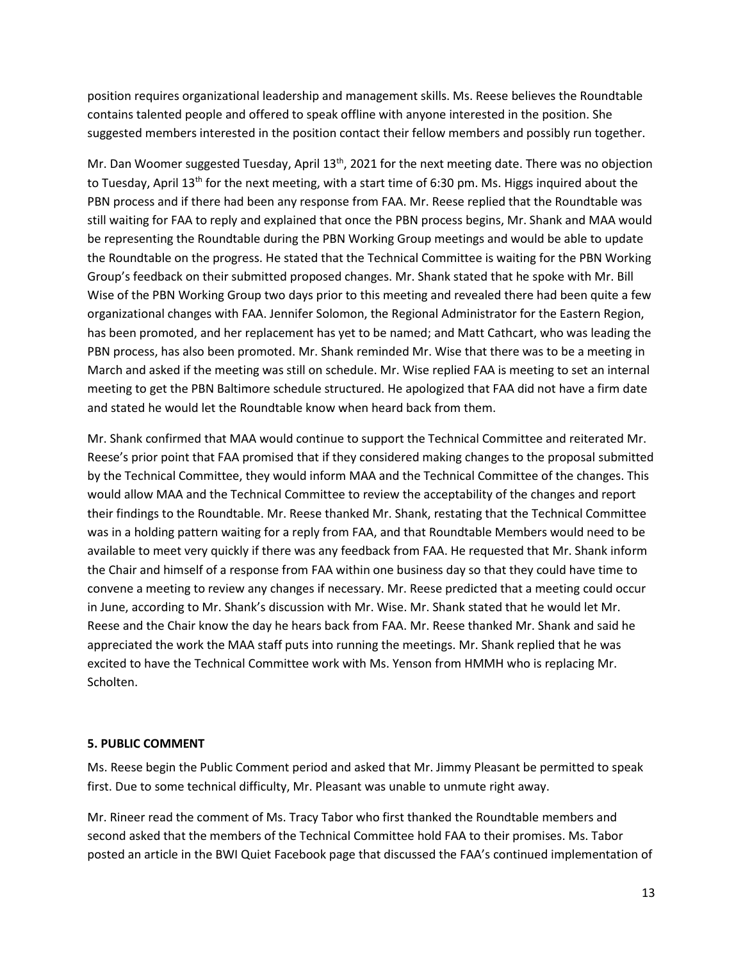position requires organizational leadership and management skills. Ms. Reese believes the Roundtable contains talented people and offered to speak offline with anyone interested in the position. She suggested members interested in the position contact their fellow members and possibly run together.

Mr. Dan Woomer suggested Tuesday, April 13<sup>th</sup>, 2021 for the next meeting date. There was no objection to Tuesday, April 13<sup>th</sup> for the next meeting, with a start time of 6:30 pm. Ms. Higgs inquired about the PBN process and if there had been any response from FAA. Mr. Reese replied that the Roundtable was still waiting for FAA to reply and explained that once the PBN process begins, Mr. Shank and MAA would be representing the Roundtable during the PBN Working Group meetings and would be able to update the Roundtable on the progress. He stated that the Technical Committee is waiting for the PBN Working Group's feedback on their submitted proposed changes. Mr. Shank stated that he spoke with Mr. Bill Wise of the PBN Working Group two days prior to this meeting and revealed there had been quite a few organizational changes with FAA. Jennifer Solomon, the Regional Administrator for the Eastern Region, has been promoted, and her replacement has yet to be named; and Matt Cathcart, who was leading the PBN process, has also been promoted. Mr. Shank reminded Mr. Wise that there was to be a meeting in March and asked if the meeting was still on schedule. Mr. Wise replied FAA is meeting to set an internal meeting to get the PBN Baltimore schedule structured. He apologized that FAA did not have a firm date and stated he would let the Roundtable know when heard back from them.

Mr. Shank confirmed that MAA would continue to support the Technical Committee and reiterated Mr. Reese's prior point that FAA promised that if they considered making changes to the proposal submitted by the Technical Committee, they would inform MAA and the Technical Committee of the changes. This would allow MAA and the Technical Committee to review the acceptability of the changes and report their findings to the Roundtable. Mr. Reese thanked Mr. Shank, restating that the Technical Committee was in a holding pattern waiting for a reply from FAA, and that Roundtable Members would need to be available to meet very quickly if there was any feedback from FAA. He requested that Mr. Shank inform the Chair and himself of a response from FAA within one business day so that they could have time to convene a meeting to review any changes if necessary. Mr. Reese predicted that a meeting could occur in June, according to Mr. Shank's discussion with Mr. Wise. Mr. Shank stated that he would let Mr. Reese and the Chair know the day he hears back from FAA. Mr. Reese thanked Mr. Shank and said he appreciated the work the MAA staff puts into running the meetings. Mr. Shank replied that he was excited to have the Technical Committee work with Ms. Yenson from HMMH who is replacing Mr. Scholten.

### **5. PUBLIC COMMENT**

Ms. Reese begin the Public Comment period and asked that Mr. Jimmy Pleasant be permitted to speak first. Due to some technical difficulty, Mr. Pleasant was unable to unmute right away.

Mr. Rineer read the comment of Ms. Tracy Tabor who first thanked the Roundtable members and second asked that the members of the Technical Committee hold FAA to their promises. Ms. Tabor posted an article in the BWI Quiet Facebook page that discussed the FAA's continued implementation of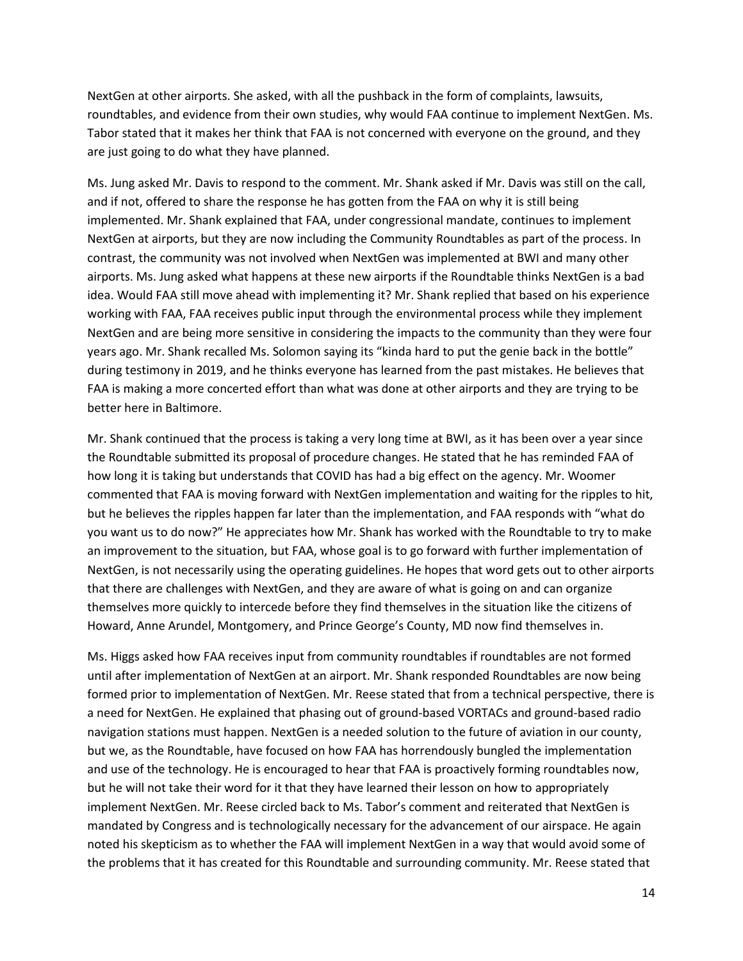NextGen at other airports. She asked, with all the pushback in the form of complaints, lawsuits, roundtables, and evidence from their own studies, why would FAA continue to implement NextGen. Ms. Tabor stated that it makes her think that FAA is not concerned with everyone on the ground, and they are just going to do what they have planned.

Ms. Jung asked Mr. Davis to respond to the comment. Mr. Shank asked if Mr. Davis was still on the call, and if not, offered to share the response he has gotten from the FAA on why it is still being implemented. Mr. Shank explained that FAA, under congressional mandate, continues to implement NextGen at airports, but they are now including the Community Roundtables as part of the process. In contrast, the community was not involved when NextGen was implemented at BWI and many other airports. Ms. Jung asked what happens at these new airports if the Roundtable thinks NextGen is a bad idea. Would FAA still move ahead with implementing it? Mr. Shank replied that based on his experience working with FAA, FAA receives public input through the environmental process while they implement NextGen and are being more sensitive in considering the impacts to the community than they were four years ago. Mr. Shank recalled Ms. Solomon saying its "kinda hard to put the genie back in the bottle" during testimony in 2019, and he thinks everyone has learned from the past mistakes. He believes that FAA is making a more concerted effort than what was done at other airports and they are trying to be better here in Baltimore.

Mr. Shank continued that the process is taking a very long time at BWI, as it has been over a year since the Roundtable submitted its proposal of procedure changes. He stated that he has reminded FAA of how long it is taking but understands that COVID has had a big effect on the agency. Mr. Woomer commented that FAA is moving forward with NextGen implementation and waiting for the ripples to hit, but he believes the ripples happen far later than the implementation, and FAA responds with "what do you want us to do now?" He appreciates how Mr. Shank has worked with the Roundtable to try to make an improvement to the situation, but FAA, whose goal is to go forward with further implementation of NextGen, is not necessarily using the operating guidelines. He hopes that word gets out to other airports that there are challenges with NextGen, and they are aware of what is going on and can organize themselves more quickly to intercede before they find themselves in the situation like the citizens of Howard, Anne Arundel, Montgomery, and Prince George's County, MD now find themselves in.

Ms. Higgs asked how FAA receives input from community roundtables if roundtables are not formed until after implementation of NextGen at an airport. Mr. Shank responded Roundtables are now being formed prior to implementation of NextGen. Mr. Reese stated that from a technical perspective, there is a need for NextGen. He explained that phasing out of ground-based VORTACs and ground-based radio navigation stations must happen. NextGen is a needed solution to the future of aviation in our county, but we, as the Roundtable, have focused on how FAA has horrendously bungled the implementation and use of the technology. He is encouraged to hear that FAA is proactively forming roundtables now, but he will not take their word for it that they have learned their lesson on how to appropriately implement NextGen. Mr. Reese circled back to Ms. Tabor's comment and reiterated that NextGen is mandated by Congress and is technologically necessary for the advancement of our airspace. He again noted his skepticism as to whether the FAA will implement NextGen in a way that would avoid some of the problems that it has created for this Roundtable and surrounding community. Mr. Reese stated that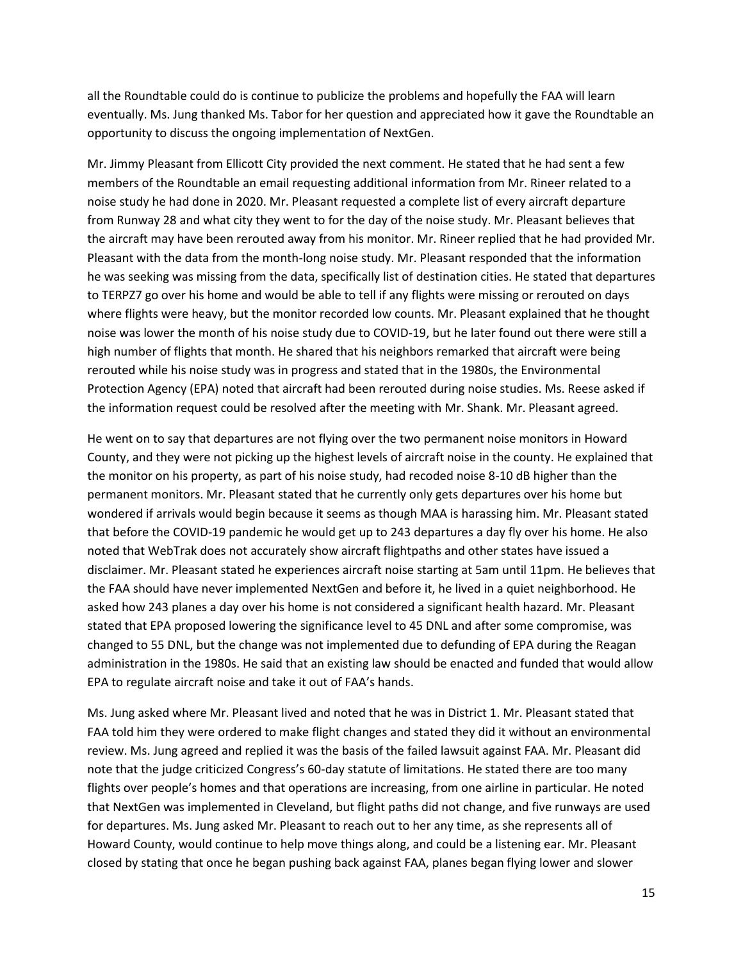all the Roundtable could do is continue to publicize the problems and hopefully the FAA will learn eventually. Ms. Jung thanked Ms. Tabor for her question and appreciated how it gave the Roundtable an opportunity to discuss the ongoing implementation of NextGen.

Mr. Jimmy Pleasant from Ellicott City provided the next comment. He stated that he had sent a few members of the Roundtable an email requesting additional information from Mr. Rineer related to a noise study he had done in 2020. Mr. Pleasant requested a complete list of every aircraft departure from Runway 28 and what city they went to for the day of the noise study. Mr. Pleasant believes that the aircraft may have been rerouted away from his monitor. Mr. Rineer replied that he had provided Mr. Pleasant with the data from the month-long noise study. Mr. Pleasant responded that the information he was seeking was missing from the data, specifically list of destination cities. He stated that departures to TERPZ7 go over his home and would be able to tell if any flights were missing or rerouted on days where flights were heavy, but the monitor recorded low counts. Mr. Pleasant explained that he thought noise was lower the month of his noise study due to COVID-19, but he later found out there were still a high number of flights that month. He shared that his neighbors remarked that aircraft were being rerouted while his noise study was in progress and stated that in the 1980s, the Environmental Protection Agency (EPA) noted that aircraft had been rerouted during noise studies. Ms. Reese asked if the information request could be resolved after the meeting with Mr. Shank. Mr. Pleasant agreed.

He went on to say that departures are not flying over the two permanent noise monitors in Howard County, and they were not picking up the highest levels of aircraft noise in the county. He explained that the monitor on his property, as part of his noise study, had recoded noise 8-10 dB higher than the permanent monitors. Mr. Pleasant stated that he currently only gets departures over his home but wondered if arrivals would begin because it seems as though MAA is harassing him. Mr. Pleasant stated that before the COVID-19 pandemic he would get up to 243 departures a day fly over his home. He also noted that WebTrak does not accurately show aircraft flightpaths and other states have issued a disclaimer. Mr. Pleasant stated he experiences aircraft noise starting at 5am until 11pm. He believes that the FAA should have never implemented NextGen and before it, he lived in a quiet neighborhood. He asked how 243 planes a day over his home is not considered a significant health hazard. Mr. Pleasant stated that EPA proposed lowering the significance level to 45 DNL and after some compromise, was changed to 55 DNL, but the change was not implemented due to defunding of EPA during the Reagan administration in the 1980s. He said that an existing law should be enacted and funded that would allow EPA to regulate aircraft noise and take it out of FAA's hands.

Ms. Jung asked where Mr. Pleasant lived and noted that he was in District 1. Mr. Pleasant stated that FAA told him they were ordered to make flight changes and stated they did it without an environmental review. Ms. Jung agreed and replied it was the basis of the failed lawsuit against FAA. Mr. Pleasant did note that the judge criticized Congress's 60-day statute of limitations. He stated there are too many flights over people's homes and that operations are increasing, from one airline in particular. He noted that NextGen was implemented in Cleveland, but flight paths did not change, and five runways are used for departures. Ms. Jung asked Mr. Pleasant to reach out to her any time, as she represents all of Howard County, would continue to help move things along, and could be a listening ear. Mr. Pleasant closed by stating that once he began pushing back against FAA, planes began flying lower and slower